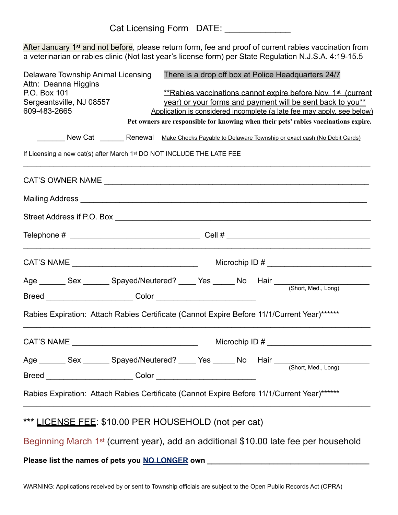After January 1<sup>st</sup> and not before, please return form, fee and proof of current rabies vaccination from a veterinarian or rabies clinic (Not last year's license form) per State Regulation N.J.S.A. 4:19-15.5

| Delaware Township Animal Licensing<br>Attn: Deanna Higgins                             | There is a drop off box at Police Headquarters 24/7                                                  |  |  |  |  |  |  |  |
|----------------------------------------------------------------------------------------|------------------------------------------------------------------------------------------------------|--|--|--|--|--|--|--|
| P.O. Box 101                                                                           | <i>**Rabies vaccinations cannot expire before Nov. 1<sup>st</sup> (current)</i>                      |  |  |  |  |  |  |  |
| Sergeantsville, NJ 08557<br>year) or your forms and payment will be sent back to you** |                                                                                                      |  |  |  |  |  |  |  |
| 609-483-2665                                                                           | Application is considered incomplete (a late fee may apply, see below)                               |  |  |  |  |  |  |  |
|                                                                                        | Pet owners are responsible for knowing when their pets' rabies vaccinations expire.                  |  |  |  |  |  |  |  |
|                                                                                        | New Cat _________ Renewal Make Checks Payable to Delaware Township or exact cash (No Debit Cards)    |  |  |  |  |  |  |  |
| If Licensing a new cat(s) after March 1 <sup>st</sup> DO NOT INCLUDE THE LATE FEE      |                                                                                                      |  |  |  |  |  |  |  |
|                                                                                        |                                                                                                      |  |  |  |  |  |  |  |
|                                                                                        |                                                                                                      |  |  |  |  |  |  |  |
|                                                                                        |                                                                                                      |  |  |  |  |  |  |  |
|                                                                                        |                                                                                                      |  |  |  |  |  |  |  |
|                                                                                        | Microchip ID # $\frac{1}{2}$ Microchip ID # 2008                                                     |  |  |  |  |  |  |  |
|                                                                                        | Age _________ Sex _________ Spayed/Neutered? ______ Yes _______ No Hair ____________________________ |  |  |  |  |  |  |  |
|                                                                                        |                                                                                                      |  |  |  |  |  |  |  |
|                                                                                        | Rabies Expiration: Attach Rabies Certificate (Cannot Expire Before 11/1/Current Year)******          |  |  |  |  |  |  |  |
|                                                                                        | Microchip ID # $\frac{1}{2}$ Microchip ID # 2008                                                     |  |  |  |  |  |  |  |
| Age ________ Sex ________ Spayed/Neutered? _____ Yes ______ No Hair ___                |                                                                                                      |  |  |  |  |  |  |  |
|                                                                                        | (Short, Med., Long)                                                                                  |  |  |  |  |  |  |  |
|                                                                                        | Rabies Expiration: Attach Rabies Certificate (Cannot Expire Before 11/1/Current Year)******          |  |  |  |  |  |  |  |
| *** LICENSE FEE: \$10.00 PER HOUSEHOLD (not per cat)                                   |                                                                                                      |  |  |  |  |  |  |  |
|                                                                                        | Beginning March 1 <sup>st</sup> (current year), add an additional \$10.00 late fee per household     |  |  |  |  |  |  |  |
| Please list the names of pets you <b>NO LONGER</b> own                                 |                                                                                                      |  |  |  |  |  |  |  |